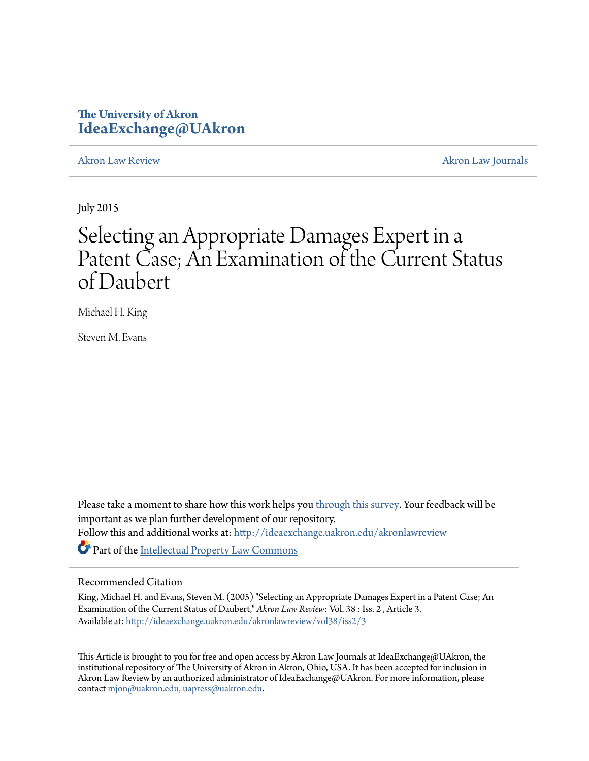# **The University of Akron [IdeaExchange@UAkron](http://ideaexchange.uakron.edu?utm_source=ideaexchange.uakron.edu%2Fakronlawreview%2Fvol38%2Fiss2%2F3&utm_medium=PDF&utm_campaign=PDFCoverPages)**

[Akron Law Review](http://ideaexchange.uakron.edu/akronlawreview?utm_source=ideaexchange.uakron.edu%2Fakronlawreview%2Fvol38%2Fiss2%2F3&utm_medium=PDF&utm_campaign=PDFCoverPages) [Akron Law Journals](http://ideaexchange.uakron.edu/akronlawjournals?utm_source=ideaexchange.uakron.edu%2Fakronlawreview%2Fvol38%2Fiss2%2F3&utm_medium=PDF&utm_campaign=PDFCoverPages)

July 2015

# Selecting an Appropriate Damages Expert in a Patent Case; An Examination of the Current Status of Daubert

Michael H. King

Steven M. Evans

Please take a moment to share how this work helps you [through this survey.](http://survey.az1.qualtrics.com/SE/?SID=SV_eEVH54oiCbOw05f&URL=http://ideaexchange.uakron.edu/akronlawreview/vol38/iss2/3) Your feedback will be important as we plan further development of our repository. Follow this and additional works at: [http://ideaexchange.uakron.edu/akronlawreview](http://ideaexchange.uakron.edu/akronlawreview?utm_source=ideaexchange.uakron.edu%2Fakronlawreview%2Fvol38%2Fiss2%2F3&utm_medium=PDF&utm_campaign=PDFCoverPages) Part of the [Intellectual Property Law Commons](http://network.bepress.com/hgg/discipline/896?utm_source=ideaexchange.uakron.edu%2Fakronlawreview%2Fvol38%2Fiss2%2F3&utm_medium=PDF&utm_campaign=PDFCoverPages)

## Recommended Citation

King, Michael H. and Evans, Steven M. (2005) "Selecting an Appropriate Damages Expert in a Patent Case; An Examination of the Current Status of Daubert," *Akron Law Review*: Vol. 38 : Iss. 2 , Article 3. Available at: [http://ideaexchange.uakron.edu/akronlawreview/vol38/iss2/3](http://ideaexchange.uakron.edu/akronlawreview/vol38/iss2/3?utm_source=ideaexchange.uakron.edu%2Fakronlawreview%2Fvol38%2Fiss2%2F3&utm_medium=PDF&utm_campaign=PDFCoverPages)

This Article is brought to you for free and open access by Akron Law Journals at IdeaExchange@UAkron, the institutional repository of The University of Akron in Akron, Ohio, USA. It has been accepted for inclusion in Akron Law Review by an authorized administrator of IdeaExchange@UAkron. For more information, please contact [mjon@uakron.edu, uapress@uakron.edu.](mailto:mjon@uakron.edu,%20uapress@uakron.edu)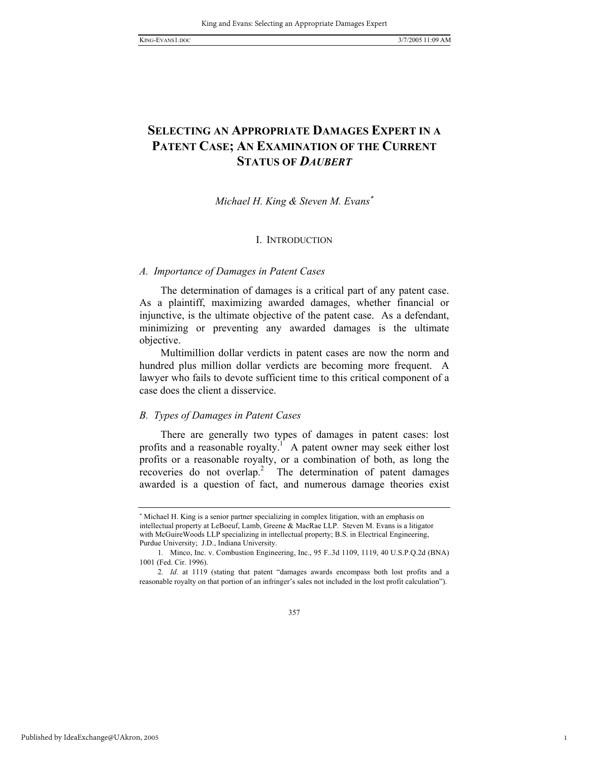1

## **SELECTING AN APPROPRIATE DAMAGES EXPERT IN A PATENT CASE; AN EXAMINATION OF THE CURRENT STATUS OF** *DAUBERT*

## *Michael H. King & Steven M. Evans*<sup>∗</sup>

## I. INTRODUCTION

#### *A. Importance of Damages in Patent Cases*

The determination of damages is a critical part of any patent case. As a plaintiff, maximizing awarded damages, whether financial or injunctive, is the ultimate objective of the patent case. As a defendant, minimizing or preventing any awarded damages is the ultimate objective.

Multimillion dollar verdicts in patent cases are now the norm and hundred plus million dollar verdicts are becoming more frequent. A lawyer who fails to devote sufficient time to this critical component of a case does the client a disservice.

#### *B. Types of Damages in Patent Cases*

There are generally two types of damages in patent cases: lost profits and a reasonable royalty.<sup>1</sup> A patent owner may seek either lost profits or a reasonable royalty, or a combination of both, as long the  $r$ ecoveries do not overlap.<sup>2</sup> The determination of patent damages awarded is a question of fact, and numerous damage theories exist

<sup>∗</sup> Michael H. King is a senior partner specializing in complex litigation, with an emphasis on intellectual property at LeBoeuf, Lamb, Greene & MacRae LLP. Steven M. Evans is a litigator with McGuireWoods LLP specializing in intellectual property; B.S. in Electrical Engineering, Purdue University; J.D., Indiana University.

<sup>1</sup>*.* Minco, Inc. v. Combustion Engineering, Inc., 95 F..3d 1109, 1119, 40 U.S.P.Q.2d (BNA) 1001 (Fed. Cir. 1996).

<sup>2</sup>*. Id.* at 1119 (stating that patent "damages awards encompass both lost profits and a reasonable royalty on that portion of an infringer's sales not included in the lost profit calculation").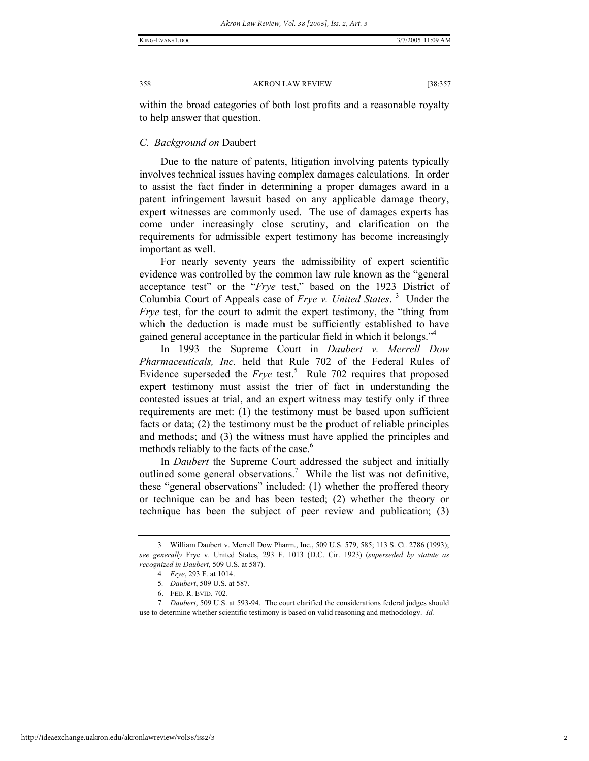within the broad categories of both lost profits and a reasonable royalty to help answer that question.

#### *C. Background on* Daubert

Due to the nature of patents, litigation involving patents typically involves technical issues having complex damages calculations. In order to assist the fact finder in determining a proper damages award in a patent infringement lawsuit based on any applicable damage theory, expert witnesses are commonly used. The use of damages experts has come under increasingly close scrutiny, and clarification on the requirements for admissible expert testimony has become increasingly important as well.

For nearly seventy years the admissibility of expert scientific evidence was controlled by the common law rule known as the "general acceptance test" or the "*Frye* test," based on the 1923 District of Columbia Court of Appeals case of *Frye v. United States*. <sup>3</sup> Under the *Frye* test, for the court to admit the expert testimony, the "thing from which the deduction is made must be sufficiently established to have gained general acceptance in the particular field in which it belongs."4

In 1993 the Supreme Court in *Daubert v. Merrell Dow Pharmaceuticals, Inc.* held that Rule 702 of the Federal Rules of Evidence superseded the  $Frye$  test.<sup>5</sup> Rule 702 requires that proposed expert testimony must assist the trier of fact in understanding the contested issues at trial, and an expert witness may testify only if three requirements are met: (1) the testimony must be based upon sufficient facts or data; (2) the testimony must be the product of reliable principles and methods; and (3) the witness must have applied the principles and methods reliably to the facts of the case.<sup>6</sup>

In *Daubert* the Supreme Court addressed the subject and initially outlined some general observations.<sup>7</sup> While the list was not definitive, these "general observations" included: (1) whether the proffered theory or technique can be and has been tested; (2) whether the theory or technique has been the subject of peer review and publication; (3)

<sup>3</sup>*.* William Daubert v. Merrell Dow Pharm., Inc., 509 U.S. 579, 585; 113 S. Ct. 2786 (1993); *see generally* Frye v. United States, 293 F. 1013 (D.C. Cir. 1923) (*superseded by statute as recognized in Daubert*, 509 U.S. at 587).

<sup>4</sup>*. Frye*, 293 F. at 1014.

<sup>5</sup>*. Daubert*, 509 U.S. at 587.

 <sup>6.</sup> FED. R. EVID. 702.

<sup>7</sup>*. Daubert*, 509 U.S. at 593-94. The court clarified the considerations federal judges should use to determine whether scientific testimony is based on valid reasoning and methodology. *Id.*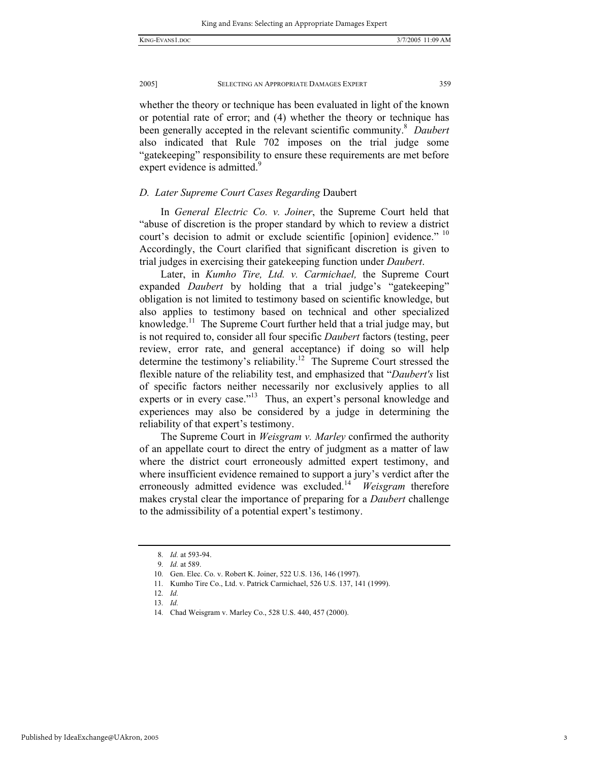whether the theory or technique has been evaluated in light of the known or potential rate of error; and (4) whether the theory or technique has been generally accepted in the relevant scientific community.<sup>8</sup> Daubert also indicated that Rule 702 imposes on the trial judge some "gatekeeping" responsibility to ensure these requirements are met before expert evidence is admitted.<sup>9</sup>

## *D. Later Supreme Court Cases Regarding* Daubert

In *General Electric Co. v. Joiner*, the Supreme Court held that "abuse of discretion is the proper standard by which to review a district court's decision to admit or exclude scientific [opinion] evidence." <sup>10</sup> Accordingly, the Court clarified that significant discretion is given to trial judges in exercising their gatekeeping function under *Daubert*.

Later, in *Kumho Tire, Ltd. v. Carmichael,* the Supreme Court expanded *Daubert* by holding that a trial judge's "gatekeeping" obligation is not limited to testimony based on scientific knowledge, but also applies to testimony based on technical and other specialized knowledge.<sup>11</sup> The Supreme Court further held that a trial judge may, but is not required to, consider all four specific *Daubert* factors (testing, peer review, error rate, and general acceptance) if doing so will help determine the testimony's reliability.<sup>12</sup> The Supreme Court stressed the flexible nature of the reliability test, and emphasized that "*Daubert's* list of specific factors neither necessarily nor exclusively applies to all experts or in every case."<sup>13</sup> Thus, an expert's personal knowledge and experiences may also be considered by a judge in determining the reliability of that expert's testimony.

The Supreme Court in *Weisgram v. Marley* confirmed the authority of an appellate court to direct the entry of judgment as a matter of law where the district court erroneously admitted expert testimony, and where insufficient evidence remained to support a jury's verdict after the erroneously admitted evidence was excluded.<sup>14</sup> *Weisgram* therefore makes crystal clear the importance of preparing for a *Daubert* challenge to the admissibility of a potential expert's testimony.

<sup>8</sup>*. Id.* at 593-94.

<sup>9</sup>*. Id.* at 589.

<sup>10</sup>*.* Gen. Elec. Co. v. Robert K. Joiner, 522 U.S. 136, 146 (1997).

<sup>11</sup>*.* Kumho Tire Co., Ltd. v. Patrick Carmichael, 526 U.S. 137, 141 (1999).

<sup>12</sup>*. Id.*

<sup>13</sup>*. Id.*

<sup>14</sup>*.* Chad Weisgram v. Marley Co., 528 U.S. 440, 457 (2000).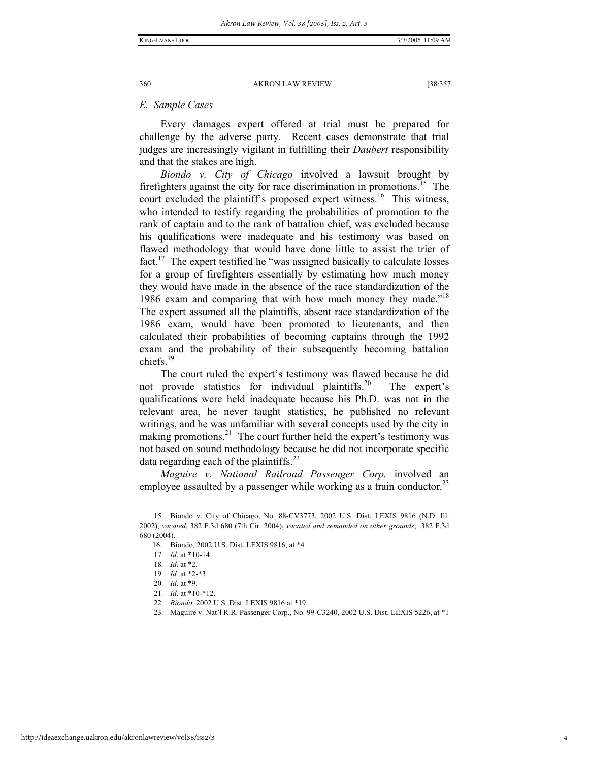#### *E. Sample Cases*

Every damages expert offered at trial must be prepared for challenge by the adverse party. Recent cases demonstrate that trial judges are increasingly vigilant in fulfilling their *Daubert* responsibility and that the stakes are high.

*Biondo v. City of Chicago* involved a lawsuit brought by firefighters against the city for race discrimination in promotions.<sup>15</sup> The court excluded the plaintiff's proposed expert witness.<sup>16</sup> This witness, who intended to testify regarding the probabilities of promotion to the rank of captain and to the rank of battalion chief, was excluded because his qualifications were inadequate and his testimony was based on flawed methodology that would have done little to assist the trier of fact.<sup>17</sup> The expert testified he "was assigned basically to calculate losses" for a group of firefighters essentially by estimating how much money they would have made in the absence of the race standardization of the 1986 exam and comparing that with how much money they made."<sup>18</sup> The expert assumed all the plaintiffs, absent race standardization of the 1986 exam, would have been promoted to lieutenants, and then calculated their probabilities of becoming captains through the 1992 exam and the probability of their subsequently becoming battalion chiefs.<sup>19</sup>

The court ruled the expert's testimony was flawed because he did not provide statistics for individual plaintiffs.<sup>20</sup> The expert's qualifications were held inadequate because his Ph.D. was not in the relevant area, he never taught statistics, he published no relevant writings, and he was unfamiliar with several concepts used by the city in making promotions. $^{21}$  The court further held the expert's testimony was not based on sound methodology because he did not incorporate specific data regarding each of the plaintiffs.<sup>22</sup>

*Maguire v. National Railroad Passenger Corp.* involved an employee assaulted by a passenger while working as a train conductor.<sup>23</sup>

<sup>15</sup>*.* Biondo v. City of Chicago, No. 88-CV3773, 2002 U.S. Dist. LEXIS 9816 (N.D. Ill. 2002), *vacated*, 382 F.3d 680 (7th Cir. 2004), *vacated and remanded on other grounds*, 382 F.3d 680 (2004).

 <sup>16.</sup> Biondo*,* 2002 U.S. Dist. LEXIS 9816, at \*4

<sup>17</sup>*. Id*. at \*10-14.

<sup>18</sup>*. Id.* at \*2.

<sup>19</sup>*. Id.* at \*2-\*3*.*

<sup>20</sup>*. Id*. at \*9.

<sup>21</sup>*. Id*. at \*10-\*12.

<sup>22</sup>*. Biondo,* 2002 U.S. Dist. LEXIS 9816 at \*19.

<sup>23</sup>*.* Maguire v. Nat'l R.R. Passenger Corp., No. 99-C3240, 2002 U.S. Dist. LEXIS 5226, at \*1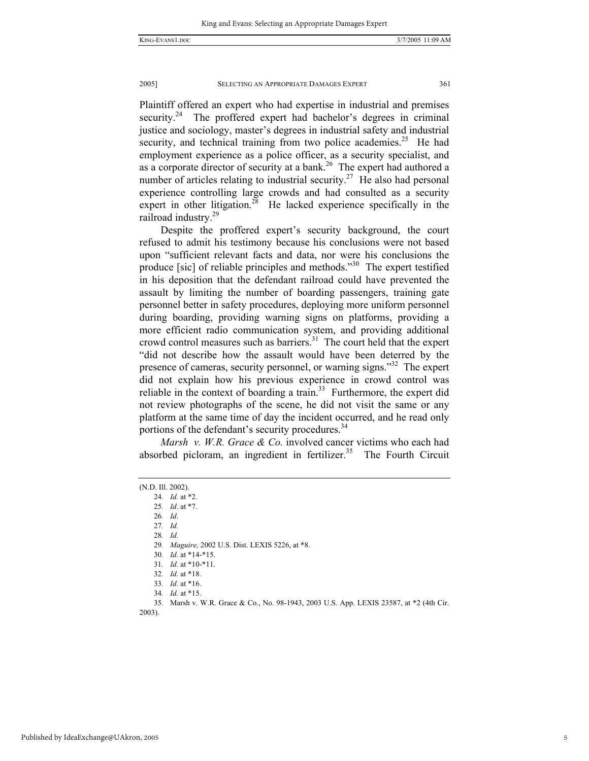Plaintiff offered an expert who had expertise in industrial and premises security.<sup>24</sup> The proffered expert had bachelor's degrees in criminal justice and sociology, master's degrees in industrial safety and industrial security, and technical training from two police academies.<sup>25</sup> He had employment experience as a police officer, as a security specialist, and as a corporate director of security at a bank.<sup>26</sup> The expert had authored a number of articles relating to industrial security.<sup>27</sup> He also had personal experience controlling large crowds and had consulted as a security expert in other litigation.<sup>28</sup> He lacked experience specifically in the railroad industry.29

Despite the proffered expert's security background, the court refused to admit his testimony because his conclusions were not based upon "sufficient relevant facts and data, nor were his conclusions the produce [sic] of reliable principles and methods."<sup>30</sup> The expert testified in his deposition that the defendant railroad could have prevented the assault by limiting the number of boarding passengers, training gate personnel better in safety procedures, deploying more uniform personnel during boarding, providing warning signs on platforms, providing a more efficient radio communication system, and providing additional crowd control measures such as barriers.<sup>31</sup> The court held that the expert "did not describe how the assault would have been deterred by the presence of cameras, security personnel, or warning signs."<sup>32</sup> The expert did not explain how his previous experience in crowd control was reliable in the context of boarding a train.<sup>33</sup> Furthermore, the expert did not review photographs of the scene, he did not visit the same or any platform at the same time of day the incident occurred, and he read only portions of the defendant's security procedures.<sup>34</sup>

*Marsh v. W.R. Grace & Co.* involved cancer victims who each had absorbed picloram, an ingredient in fertilizer.<sup>35</sup> The Fourth Circuit

25*. Id*. at \*7.

26*. Id.*

27*. Id.*

28*. Id.*

29*. Maguire,* 2002 U.S. Dist. LEXIS 5226, at \*8.

<sup>(</sup>N.D. Ill. 2002).

<sup>24</sup>*. Id.* at \*2.

<sup>30</sup>*. Id.* at \*14-\*15.

<sup>31</sup>*. Id.* at \*10-\*11.

<sup>32</sup>*. Id.* at \*18.

<sup>33</sup>*. Id.* at \*16.

<sup>34</sup>*. Id.* at \*15.

<sup>35</sup>*.* Marsh v. W.R. Grace & Co., No. 98-1943, 2003 U.S. App. LEXIS 23587, at \*2 (4th Cir. 2003).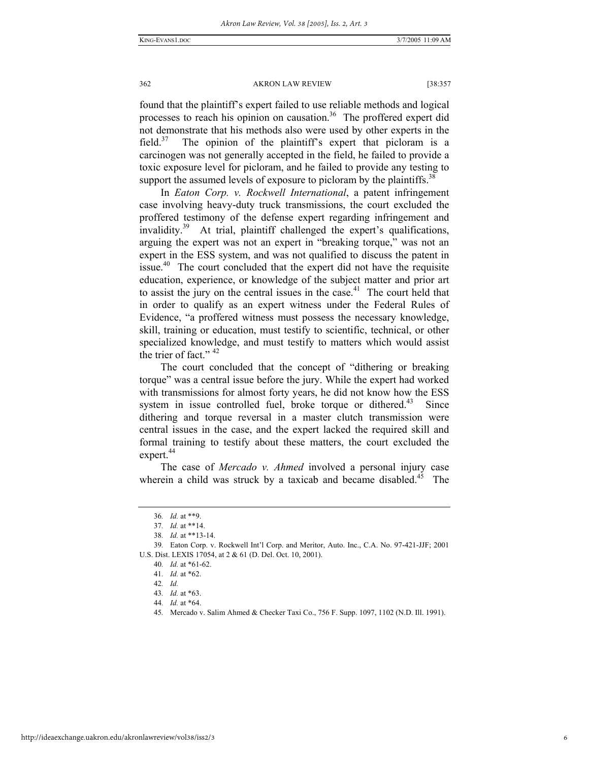found that the plaintiff's expert failed to use reliable methods and logical processes to reach his opinion on causation.<sup>36</sup> The proffered expert did not demonstrate that his methods also were used by other experts in the field.<sup>37</sup> The opinion of the plaintiff's expert that picloram is a carcinogen was not generally accepted in the field, he failed to provide a toxic exposure level for picloram, and he failed to provide any testing to support the assumed levels of exposure to picloram by the plaintiffs.<sup>38</sup>

In *Eaton Corp. v. Rockwell International*, a patent infringement case involving heavy-duty truck transmissions, the court excluded the proffered testimony of the defense expert regarding infringement and invalidity.39 At trial, plaintiff challenged the expert's qualifications, arguing the expert was not an expert in "breaking torque," was not an expert in the ESS system, and was not qualified to discuss the patent in issue.<sup>40</sup> The court concluded that the expert did not have the requisite education, experience, or knowledge of the subject matter and prior art to assist the jury on the central issues in the case. $41$  The court held that in order to qualify as an expert witness under the Federal Rules of Evidence, "a proffered witness must possess the necessary knowledge, skill, training or education, must testify to scientific, technical, or other specialized knowledge, and must testify to matters which would assist the trier of fact." <sup>42</sup>

The court concluded that the concept of "dithering or breaking torque" was a central issue before the jury. While the expert had worked with transmissions for almost forty years, he did not know how the ESS system in issue controlled fuel, broke torque or dithered.<sup>43</sup> Since dithering and torque reversal in a master clutch transmission were central issues in the case, and the expert lacked the required skill and formal training to testify about these matters, the court excluded the expert.<sup>44</sup>

The case of *Mercado v. Ahmed* involved a personal injury case wherein a child was struck by a taxicab and became disabled.<sup>45</sup> The

<sup>36</sup>*. Id.* at \*\*9.

<sup>37</sup>*. Id.* at \*\*14.

<sup>38</sup>*. Id.* at \*\*13-14.

<sup>39</sup>*.* Eaton Corp. v. Rockwell Int'l Corp. and Meritor, Auto. Inc., C.A. No. 97-421-JJF; 2001 U.S. Dist. LEXIS 17054, at 2 & 61 (D. Del. Oct. 10, 2001).

<sup>40</sup>*. Id.* at \*61-62.

<sup>41</sup>*. Id.* at \*62.

<sup>42</sup>*. Id.*

<sup>43</sup>*. Id.* at \*63.

<sup>44</sup>*. Id.* at \*64.

<sup>45</sup>*.* Mercado v. Salim Ahmed & Checker Taxi Co., 756 F. Supp. 1097, 1102 (N.D. Ill. 1991).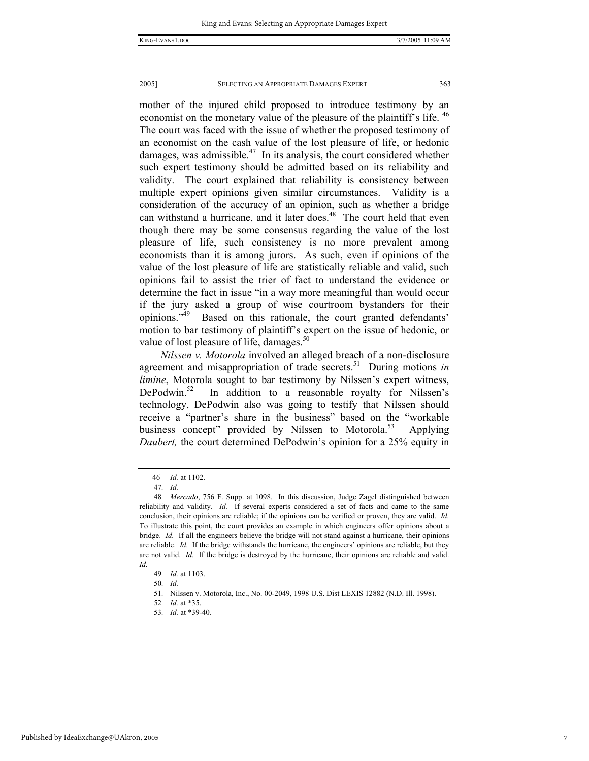mother of the injured child proposed to introduce testimony by an economist on the monetary value of the pleasure of the plaintiff's life. <sup>46</sup> The court was faced with the issue of whether the proposed testimony of an economist on the cash value of the lost pleasure of life, or hedonic damages, was admissible. $47$  In its analysis, the court considered whether such expert testimony should be admitted based on its reliability and validity. The court explained that reliability is consistency between multiple expert opinions given similar circumstances. Validity is a consideration of the accuracy of an opinion, such as whether a bridge can withstand a hurricane, and it later does.<sup>48</sup> The court held that even though there may be some consensus regarding the value of the lost pleasure of life, such consistency is no more prevalent among economists than it is among jurors. As such, even if opinions of the value of the lost pleasure of life are statistically reliable and valid, such opinions fail to assist the trier of fact to understand the evidence or determine the fact in issue "in a way more meaningful than would occur if the jury asked a group of wise courtroom bystanders for their opinions."49 Based on this rationale, the court granted defendants' motion to bar testimony of plaintiff's expert on the issue of hedonic, or value of lost pleasure of life, damages.<sup>50</sup>

*Nilssen v. Motorola* involved an alleged breach of a non-disclosure agreement and misappropriation of trade secrets.<sup>51</sup> During motions *in limine*, Motorola sought to bar testimony by Nilssen's expert witness, DePodwin.<sup>52</sup> In addition to a reasonable royalty for Nilssen's technology, DePodwin also was going to testify that Nilssen should receive a "partner's share in the business" based on the "workable business concept" provided by Nilssen to Motorola.<sup>53</sup> Applying *Daubert,* the court determined DePodwin's opinion for a 25% equity in

 <sup>46</sup> *Id.* at 1102.

<sup>47</sup>*. Id.*

<sup>48</sup>*. Mercado*, 756 F. Supp. at 1098. In this discussion, Judge Zagel distinguished between reliability and validity. *Id.* If several experts considered a set of facts and came to the same conclusion, their opinions are reliable; if the opinions can be verified or proven, they are valid. *Id.* To illustrate this point, the court provides an example in which engineers offer opinions about a bridge. *Id.* If all the engineers believe the bridge will not stand against a hurricane, their opinions are reliable. *Id.* If the bridge withstands the hurricane, the engineers' opinions are reliable, but they are not valid. *Id.* If the bridge is destroyed by the hurricane, their opinions are reliable and valid. *Id.*

<sup>49</sup>*. Id.* at 1103.

<sup>50</sup>*. Id.*

<sup>51</sup>*.* Nilssen v. Motorola, Inc., No. 00-2049, 1998 U.S. Dist LEXIS 12882 (N.D. Ill. 1998).

<sup>52</sup>*. Id.* at \*35.

<sup>53</sup>*. Id.* at \*39-40.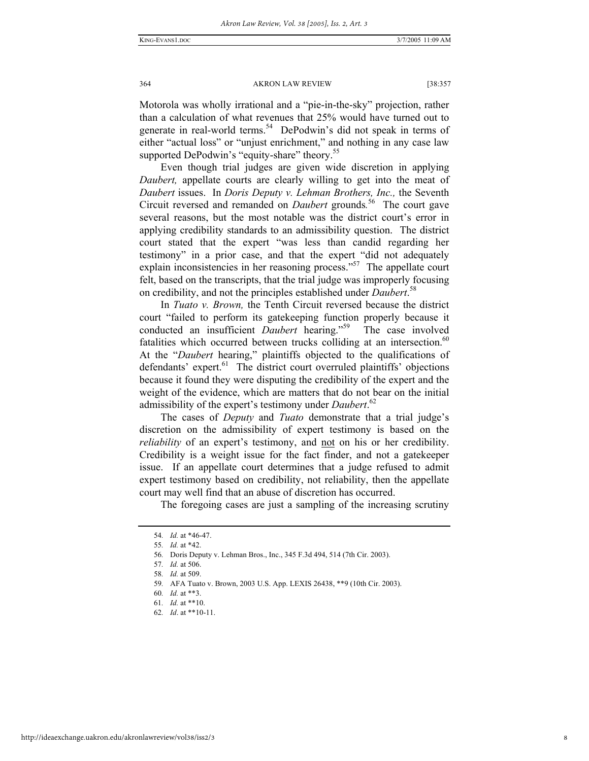Motorola was wholly irrational and a "pie-in-the-sky" projection, rather than a calculation of what revenues that 25% would have turned out to generate in real-world terms.<sup>54</sup> DePodwin's did not speak in terms of either "actual loss" or "unjust enrichment," and nothing in any case law supported DePodwin's "equity-share" theory.<sup>55</sup>

Even though trial judges are given wide discretion in applying *Daubert,* appellate courts are clearly willing to get into the meat of *Daubert* issues. In *Doris Deputy v. Lehman Brothers, Inc.,* the Seventh Circuit reversed and remanded on *Daubert* grounds*.* <sup>56</sup>The court gave several reasons, but the most notable was the district court's error in applying credibility standards to an admissibility question. The district court stated that the expert "was less than candid regarding her testimony" in a prior case, and that the expert "did not adequately explain inconsistencies in her reasoning process."<sup>57</sup> The appellate court felt, based on the transcripts, that the trial judge was improperly focusing on credibility, and not the principles established under *Daubert*. 58

In *Tuato v. Brown,* the Tenth Circuit reversed because the district court "failed to perform its gatekeeping function properly because it conducted an insufficient *Daubert* hearing."<sup>59</sup> The case involved fatalities which occurred between trucks colliding at an intersection. $60$ At the "*Daubert* hearing," plaintiffs objected to the qualifications of defendants' expert.<sup>61</sup> The district court overruled plaintiffs' objections because it found they were disputing the credibility of the expert and the weight of the evidence, which are matters that do not bear on the initial admissibility of the expert's testimony under *Daubert*. 62

The cases of *Deputy* and *Tuato* demonstrate that a trial judge's discretion on the admissibility of expert testimony is based on the *reliability* of an expert's testimony, and not on his or her credibility. Credibility is a weight issue for the fact finder, and not a gatekeeper issue. If an appellate court determines that a judge refused to admit expert testimony based on credibility, not reliability, then the appellate court may well find that an abuse of discretion has occurred.

The foregoing cases are just a sampling of the increasing scrutiny

<sup>54</sup>*. Id.* at \*46-47.

<sup>55</sup>*. Id.* at \*42.

<sup>56</sup>*.* Doris Deputy v. Lehman Bros., Inc., 345 F.3d 494, 514 (7th Cir. 2003).

<sup>57</sup>*. Id.* at 506.

<sup>58</sup>*. Id.* at 509.

<sup>59</sup>*.* AFA Tuato v. Brown, 2003 U.S. App. LEXIS 26438, \*\*9 (10th Cir. 2003).

<sup>60</sup>*. Id.* at \*\*3.

<sup>61</sup>*. Id.* at \*\*10.

<sup>62</sup>*. Id*. at \*\*10-11.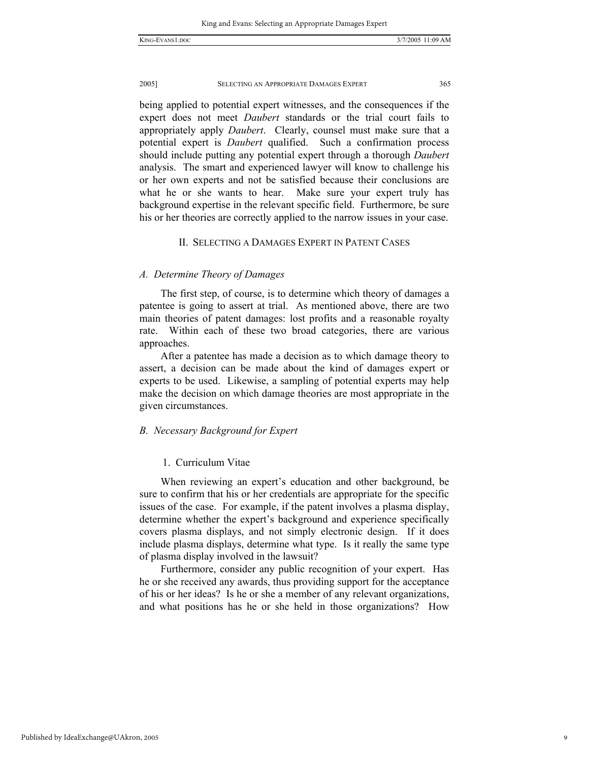being applied to potential expert witnesses, and the consequences if the expert does not meet *Daubert* standards or the trial court fails to appropriately apply *Daubert*. Clearly, counsel must make sure that a potential expert is *Daubert* qualified. Such a confirmation process should include putting any potential expert through a thorough *Daubert* analysis. The smart and experienced lawyer will know to challenge his or her own experts and not be satisfied because their conclusions are what he or she wants to hear. Make sure your expert truly has background expertise in the relevant specific field. Furthermore, be sure his or her theories are correctly applied to the narrow issues in your case.

## II. SELECTING A DAMAGES EXPERT IN PATENT CASES

## *A. Determine Theory of Damages*

The first step, of course, is to determine which theory of damages a patentee is going to assert at trial. As mentioned above, there are two main theories of patent damages: lost profits and a reasonable royalty rate. Within each of these two broad categories, there are various approaches.

After a patentee has made a decision as to which damage theory to assert, a decision can be made about the kind of damages expert or experts to be used. Likewise, a sampling of potential experts may help make the decision on which damage theories are most appropriate in the given circumstances.

#### *B. Necessary Background for Expert*

#### 1. Curriculum Vitae

When reviewing an expert's education and other background, be sure to confirm that his or her credentials are appropriate for the specific issues of the case. For example, if the patent involves a plasma display, determine whether the expert's background and experience specifically covers plasma displays, and not simply electronic design. If it does include plasma displays, determine what type. Is it really the same type of plasma display involved in the lawsuit?

Furthermore, consider any public recognition of your expert. Has he or she received any awards, thus providing support for the acceptance of his or her ideas? Is he or she a member of any relevant organizations, and what positions has he or she held in those organizations? How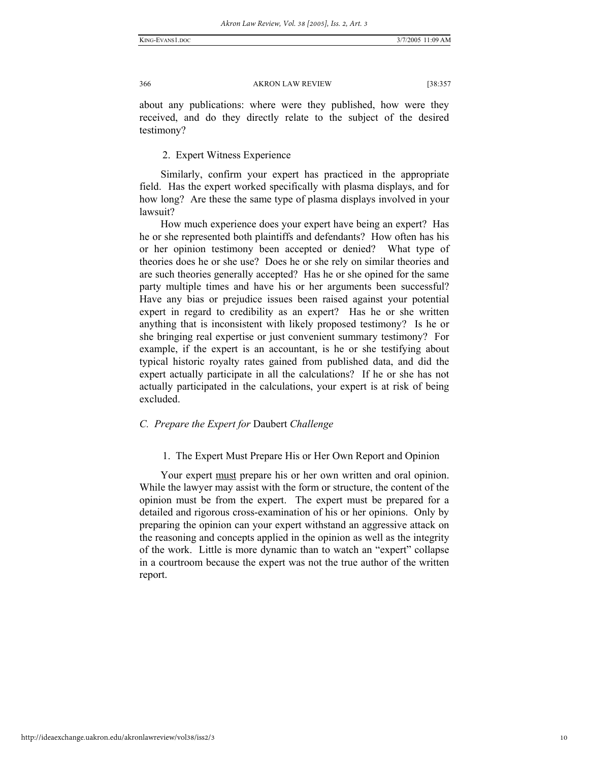about any publications: where were they published, how were they received, and do they directly relate to the subject of the desired testimony?

## 2. Expert Witness Experience

Similarly, confirm your expert has practiced in the appropriate field. Has the expert worked specifically with plasma displays, and for how long? Are these the same type of plasma displays involved in your lawsuit?

How much experience does your expert have being an expert? Has he or she represented both plaintiffs and defendants? How often has his or her opinion testimony been accepted or denied? What type of theories does he or she use? Does he or she rely on similar theories and are such theories generally accepted? Has he or she opined for the same party multiple times and have his or her arguments been successful? Have any bias or prejudice issues been raised against your potential expert in regard to credibility as an expert? Has he or she written anything that is inconsistent with likely proposed testimony? Is he or she bringing real expertise or just convenient summary testimony? For example, if the expert is an accountant, is he or she testifying about typical historic royalty rates gained from published data, and did the expert actually participate in all the calculations? If he or she has not actually participated in the calculations, your expert is at risk of being excluded.

## *C. Prepare the Expert for* Daubert *Challenge*

## 1. The Expert Must Prepare His or Her Own Report and Opinion

Your expert must prepare his or her own written and oral opinion. While the lawyer may assist with the form or structure, the content of the opinion must be from the expert. The expert must be prepared for a detailed and rigorous cross-examination of his or her opinions. Only by preparing the opinion can your expert withstand an aggressive attack on the reasoning and concepts applied in the opinion as well as the integrity of the work. Little is more dynamic than to watch an "expert" collapse in a courtroom because the expert was not the true author of the written report.